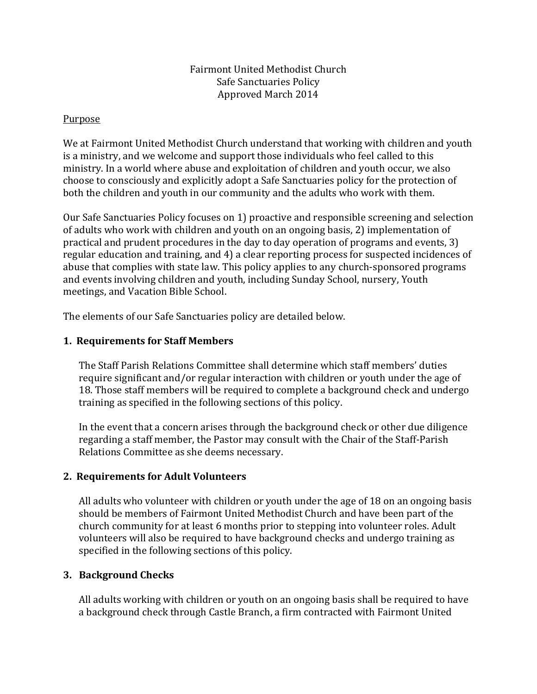### Fairmont United Methodist Church Safe Sanctuaries Policy Approved March 2014

#### Purpose

We at Fairmont United Methodist Church understand that working with children and youth is a ministry, and we welcome and support those individuals who feel called to this ministry. In a world where abuse and exploitation of children and youth occur, we also choose to consciously and explicitly adopt a Safe Sanctuaries policy for the protection of both the children and youth in our community and the adults who work with them.

Our Safe Sanctuaries Policy focuses on 1) proactive and responsible screening and selection of adults who work with children and youth on an ongoing basis, 2) implementation of practical and prudent procedures in the day to day operation of programs and events, 3) regular education and training, and 4) a clear reporting process for suspected incidences of abuse that complies with state law. This policy applies to any church-sponsored programs and events involving children and youth, including Sunday School, nursery, Youth meetings, and Vacation Bible School.

The elements of our Safe Sanctuaries policy are detailed below.

### **1. Requirements for Staff Members**

The Staff Parish Relations Committee shall determine which staff members' duties require significant and/or regular interaction with children or youth under the age of 18. Those staff members will be required to complete a background check and undergo training as specified in the following sections of this policy.

In the event that a concern arises through the background check or other due diligence regarding a staff member, the Pastor may consult with the Chair of the Staff-Parish Relations Committee as she deems necessary.

# **2. Requirements for Adult Volunteers**

All adults who volunteer with children or youth under the age of 18 on an ongoing basis should be members of Fairmont United Methodist Church and have been part of the church community for at least 6 months prior to stepping into volunteer roles. Adult volunteers will also be required to have background checks and undergo training as specified in the following sections of this policy.

# **3. Background Checks**

All adults working with children or youth on an ongoing basis shall be required to have a background check through Castle Branch, a firm contracted with Fairmont United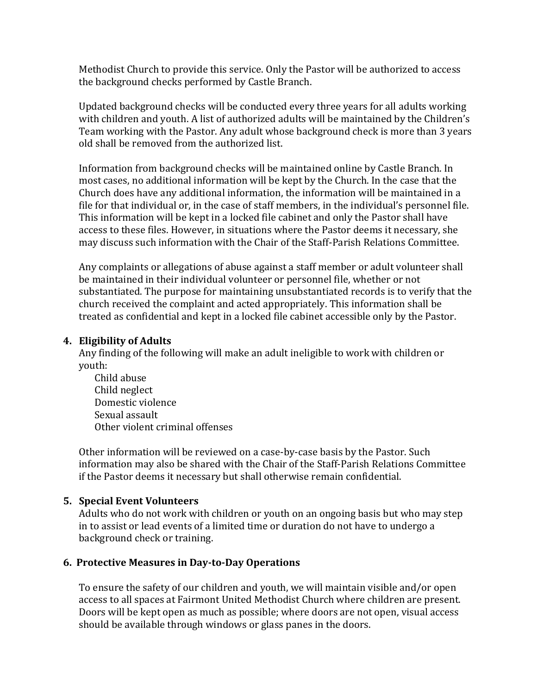Methodist Church to provide this service. Only the Pastor will be authorized to access the background checks performed by Castle Branch.

Updated background checks will be conducted every three years for all adults working with children and youth. A list of authorized adults will be maintained by the Children's Team working with the Pastor. Any adult whose background check is more than 3 years old shall be removed from the authorized list.

Information from background checks will be maintained online by Castle Branch. In most cases, no additional information will be kept by the Church. In the case that the Church does have any additional information, the information will be maintained in a file for that individual or, in the case of staff members, in the individual's personnel file. This information will be kept in a locked file cabinet and only the Pastor shall have access to these files. However, in situations where the Pastor deems it necessary, she may discuss such information with the Chair of the Staff-Parish Relations Committee.

Any complaints or allegations of abuse against a staff member or adult volunteer shall be maintained in their individual volunteer or personnel file, whether or not substantiated. The purpose for maintaining unsubstantiated records is to verify that the church received the complaint and acted appropriately. This information shall be treated as confidential and kept in a locked file cabinet accessible only by the Pastor.

### **4. Eligibility of Adults**

Any finding of the following will make an adult ineligible to work with children or youth:

Child abuse Child neglect Domestic violence Sexual assault Other violent criminal offenses

Other information will be reviewed on a case-by-case basis by the Pastor. Such information may also be shared with the Chair of the Staff-Parish Relations Committee if the Pastor deems it necessary but shall otherwise remain confidential.

# **5. Special Event Volunteers**

Adults who do not work with children or youth on an ongoing basis but who may step in to assist or lead events of a limited time or duration do not have to undergo a background check or training.

# **6. Protective Measures in Day-to-Day Operations**

To ensure the safety of our children and youth, we will maintain visible and/or open access to all spaces at Fairmont United Methodist Church where children are present. Doors will be kept open as much as possible; where doors are not open, visual access should be available through windows or glass panes in the doors.